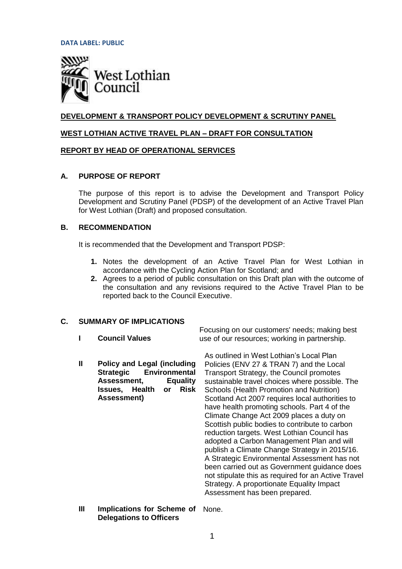**DATA LABEL: PUBLIC**



# **DEVELOPMENT & TRANSPORT POLICY DEVELOPMENT & SCRUTINY PANEL**

# **WEST LOTHIAN ACTIVE TRAVEL PLAN – DRAFT FOR CONSULTATION**

# **REPORT BY HEAD OF OPERATIONAL SERVICES**

# **A. PURPOSE OF REPORT**

The purpose of this report is to advise the Development and Transport Policy Development and Scrutiny Panel (PDSP) of the development of an Active Travel Plan for West Lothian (Draft) and proposed consultation.

# **B. RECOMMENDATION**

It is recommended that the Development and Transport PDSP:

- **1.** Notes the development of an Active Travel Plan for West Lothian in accordance with the Cycling Action Plan for Scotland; and
- **2.** Agrees to a period of public consultation on this Draft plan with the outcome of the consultation and any revisions required to the Active Travel Plan to be reported back to the Council Executive.

# **C. SUMMARY OF IMPLICATIONS**

- **I Council Values** Focusing on our customers' needs; making best use of our resources; working in partnership.
- **II Policy and Legal (including Strategic Environmental Assessment, Equality Issues, Health or Risk Assessment)** As outlined in West Lothian's Local Plan Policies (ENV 27 & TRAN 7) and the Local Transport Strategy, the Council promotes sustainable travel choices where possible. The Schools (Health Promotion and Nutrition) Scotland Act 2007 requires local authorities to have health promoting schools. Part 4 of the Climate Change Act 2009 places a duty on Scottish public bodies to contribute to carbon reduction targets. West Lothian Council has adopted a Carbon Management Plan and will publish a Climate Change Strategy in 2015/16. A Strategic Environmental Assessment has not been carried out as Government guidance does
	- not stipulate this as required for an Active Travel Strategy. A proportionate Equality Impact Assessment has been prepared.
- **III Implications for Scheme of**  None.**Delegations to Officers**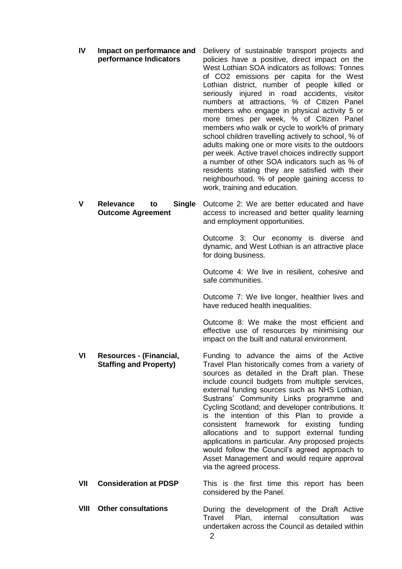| IV   | Impact on performance and<br>performance Indicators                 | Delivery of sustainable transport projects and<br>policies have a positive, direct impact on the<br>West Lothian SOA indicators as follows: Tonnes<br>of CO2 emissions per capita for the West<br>Lothian district, number of people killed or<br>seriously injured in road accidents, visitor<br>numbers at attractions, % of Citizen Panel<br>members who engage in physical activity 5 or<br>more times per week, % of Citizen Panel<br>members who walk or cycle to work% of primary<br>school children travelling actively to school, % of<br>adults making one or more visits to the outdoors<br>per week. Active travel choices indirectly support<br>a number of other SOA indicators such as % of<br>residents stating they are satisfied with their<br>neighbourhood, % of people gaining access to<br>work, training and education. |
|------|---------------------------------------------------------------------|------------------------------------------------------------------------------------------------------------------------------------------------------------------------------------------------------------------------------------------------------------------------------------------------------------------------------------------------------------------------------------------------------------------------------------------------------------------------------------------------------------------------------------------------------------------------------------------------------------------------------------------------------------------------------------------------------------------------------------------------------------------------------------------------------------------------------------------------|
| V    | <b>Relevance</b><br><b>Single</b><br>to<br><b>Outcome Agreement</b> | Outcome 2: We are better educated and have<br>access to increased and better quality learning<br>and employment opportunities.                                                                                                                                                                                                                                                                                                                                                                                                                                                                                                                                                                                                                                                                                                                 |
|      |                                                                     | Outcome 3: Our economy is diverse and<br>dynamic, and West Lothian is an attractive place<br>for doing business.                                                                                                                                                                                                                                                                                                                                                                                                                                                                                                                                                                                                                                                                                                                               |
|      |                                                                     | Outcome 4: We live in resilient, cohesive and<br>safe communities.                                                                                                                                                                                                                                                                                                                                                                                                                                                                                                                                                                                                                                                                                                                                                                             |
|      |                                                                     | Outcome 7: We live longer, healthier lives and<br>have reduced health inequalities.                                                                                                                                                                                                                                                                                                                                                                                                                                                                                                                                                                                                                                                                                                                                                            |
|      |                                                                     | Outcome 8: We make the most efficient and<br>effective use of resources by minimising our<br>impact on the built and natural environment.                                                                                                                                                                                                                                                                                                                                                                                                                                                                                                                                                                                                                                                                                                      |
| VI   | Resources - (Financial,<br><b>Staffing and Property)</b>            | Funding to advance the aims of the Active<br>Travel Plan historically comes from a variety of<br>sources as detailed in the Draft plan. These<br>include council budgets from multiple services,<br>external funding sources such as NHS Lothian,<br>Sustrans' Community Links programme and<br>Cycling Scotland; and developer contributions. It<br>is the intention of this Plan to provide a<br>consistent<br>framework for existing<br>funding<br>allocations and to support external funding<br>applications in particular. Any proposed projects<br>would follow the Council's agreed approach to<br>Asset Management and would require approval<br>via the agreed process.                                                                                                                                                              |
| VII  | <b>Consideration at PDSP</b>                                        | This is the first time this report has been<br>considered by the Panel.                                                                                                                                                                                                                                                                                                                                                                                                                                                                                                                                                                                                                                                                                                                                                                        |
| VIII | <b>Other consultations</b>                                          | During the development of the Draft Active<br>Travel<br>Plan,<br>internal<br>consultation<br>was<br>undertaken across the Council as detailed within<br>$\overline{2}$                                                                                                                                                                                                                                                                                                                                                                                                                                                                                                                                                                                                                                                                         |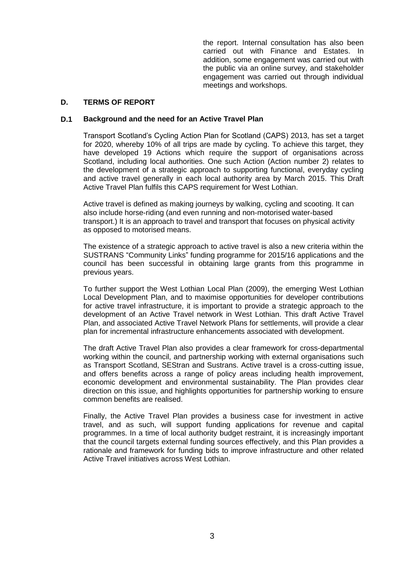the report. Internal consultation has also been carried out with Finance and Estates. In addition, some engagement was carried out with the public via an online survey, and stakeholder engagement was carried out through individual meetings and workshops.

# **D. TERMS OF REPORT**

#### **D.1 Background and the need for an Active Travel Plan**

Transport Scotland's Cycling Action Plan for Scotland (CAPS) 2013, has set a target for 2020, whereby 10% of all trips are made by cycling. To achieve this target, they have developed 19 Actions which require the support of organisations across Scotland, including local authorities. One such Action (Action number 2) relates to the development of a strategic approach to supporting functional, everyday cycling and active travel generally in each local authority area by March 2015. This Draft Active Travel Plan fulfils this CAPS requirement for West Lothian.

Active travel is defined as making journeys by walking, cycling and scooting. It can also include horse-riding (and even running and non-motorised water-based transport.) It is an approach to travel and transport that focuses on physical activity as opposed to motorised means.

The existence of a strategic approach to active travel is also a new criteria within the SUSTRANS "Community Links" funding programme for 2015/16 applications and the council has been successful in obtaining large grants from this programme in previous years.

To further support the West Lothian Local Plan (2009), the emerging West Lothian Local Development Plan, and to maximise opportunities for developer contributions for active travel infrastructure, it is important to provide a strategic approach to the development of an Active Travel network in West Lothian. This draft Active Travel Plan, and associated Active Travel Network Plans for settlements, will provide a clear plan for incremental infrastructure enhancements associated with development.

The draft Active Travel Plan also provides a clear framework for cross-departmental working within the council, and partnership working with external organisations such as Transport Scotland, SEStran and Sustrans. Active travel is a cross-cutting issue, and offers benefits across a range of policy areas including health improvement, economic development and environmental sustainability. The Plan provides clear direction on this issue, and highlights opportunities for partnership working to ensure common benefits are realised.

Finally, the Active Travel Plan provides a business case for investment in active travel, and as such, will support funding applications for revenue and capital programmes. In a time of local authority budget restraint, it is increasingly important that the council targets external funding sources effectively, and this Plan provides a rationale and framework for funding bids to improve infrastructure and other related Active Travel initiatives across West Lothian.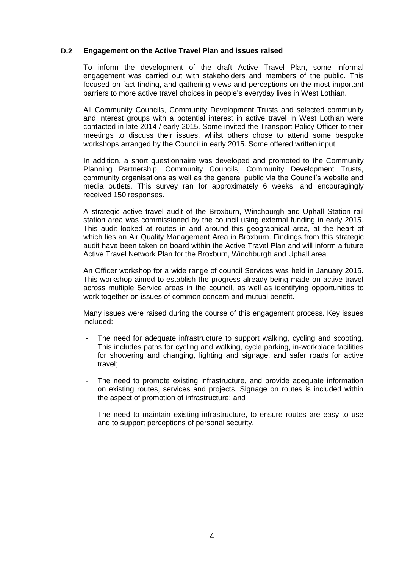# **D.2 Engagement on the Active Travel Plan and issues raised**

To inform the development of the draft Active Travel Plan, some informal engagement was carried out with stakeholders and members of the public. This focused on fact-finding, and gathering views and perceptions on the most important barriers to more active travel choices in people's everyday lives in West Lothian.

All Community Councils, Community Development Trusts and selected community and interest groups with a potential interest in active travel in West Lothian were contacted in late 2014 / early 2015. Some invited the Transport Policy Officer to their meetings to discuss their issues, whilst others chose to attend some bespoke workshops arranged by the Council in early 2015. Some offered written input.

In addition, a short questionnaire was developed and promoted to the Community Planning Partnership, Community Councils, Community Development Trusts, community organisations as well as the general public via the Council's website and media outlets. This survey ran for approximately 6 weeks, and encouragingly received 150 responses.

A strategic active travel audit of the Broxburn, Winchburgh and Uphall Station rail station area was commissioned by the council using external funding in early 2015. This audit looked at routes in and around this geographical area, at the heart of which lies an Air Quality Management Area in Broxburn. Findings from this strategic audit have been taken on board within the Active Travel Plan and will inform a future Active Travel Network Plan for the Broxburn, Winchburgh and Uphall area.

An Officer workshop for a wide range of council Services was held in January 2015. This workshop aimed to establish the progress already being made on active travel across multiple Service areas in the council, as well as identifying opportunities to work together on issues of common concern and mutual benefit.

Many issues were raised during the course of this engagement process. Key issues included:

- The need for adequate infrastructure to support walking, cycling and scooting. This includes paths for cycling and walking, cycle parking, in-workplace facilities for showering and changing, lighting and signage, and safer roads for active travel;
- The need to promote existing infrastructure, and provide adequate information on existing routes, services and projects. Signage on routes is included within the aspect of promotion of infrastructure; and
- The need to maintain existing infrastructure, to ensure routes are easy to use and to support perceptions of personal security.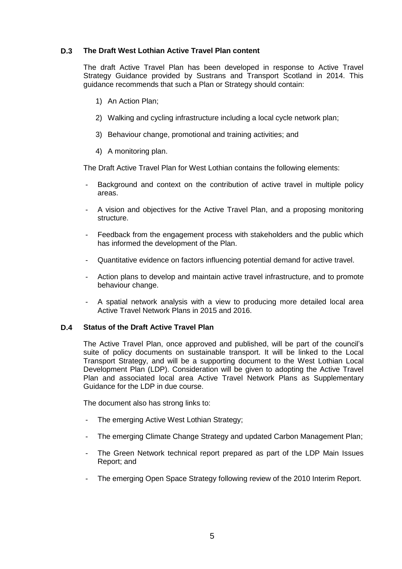# **D.3 The Draft West Lothian Active Travel Plan content**

The draft Active Travel Plan has been developed in response to Active Travel Strategy Guidance provided by Sustrans and Transport Scotland in 2014. This guidance recommends that such a Plan or Strategy should contain:

- 1) An Action Plan;
- 2) Walking and cycling infrastructure including a local cycle network plan;
- 3) Behaviour change, promotional and training activities; and
- 4) A monitoring plan.

The Draft Active Travel Plan for West Lothian contains the following elements:

- Background and context on the contribution of active travel in multiple policy areas.
- A vision and objectives for the Active Travel Plan, and a proposing monitoring structure.
- Feedback from the engagement process with stakeholders and the public which has informed the development of the Plan.
- Quantitative evidence on factors influencing potential demand for active travel.
- Action plans to develop and maintain active travel infrastructure, and to promote behaviour change.
- A spatial network analysis with a view to producing more detailed local area Active Travel Network Plans in 2015 and 2016.

# **D.4 Status of the Draft Active Travel Plan**

The Active Travel Plan, once approved and published, will be part of the council's suite of policy documents on sustainable transport. It will be linked to the Local Transport Strategy, and will be a supporting document to the West Lothian Local Development Plan (LDP). Consideration will be given to adopting the Active Travel Plan and associated local area Active Travel Network Plans as Supplementary Guidance for the LDP in due course.

The document also has strong links to:

- The emerging Active West Lothian Strategy;
- The emerging Climate Change Strategy and updated Carbon Management Plan;
- The Green Network technical report prepared as part of the LDP Main Issues Report; and
- The emerging Open Space Strategy following review of the 2010 Interim Report.